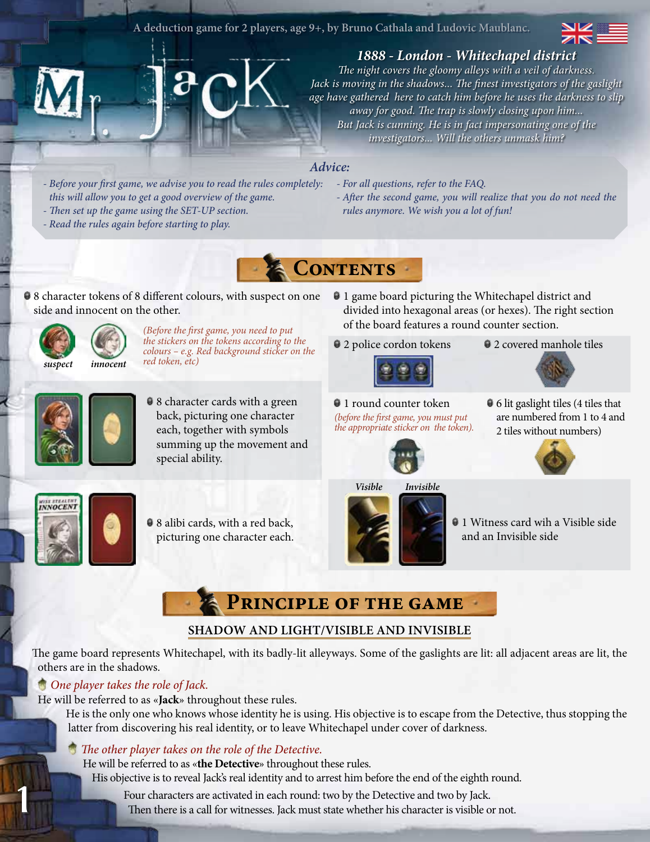#### **A deduction game for 2 players, age 9+, by Bruno Cathala and Ludovic Maublanc.**



# *1888 - London - Whitechapel district*

*The night covers the gloomy alleys with a veil of darkness. Jack is moving in the shadows... The finest investigators of the gaslight age have gathered here to catch him before he uses the darkness to slip away for good. The trap is slowly closing upon him... But Jack is cunning. He is in fact impersonating one of the investigators... Will the others unmask him?* 

## *Advice:*

- *Before your first game, we advise you to read the rules completely: this will allow you to get a good overview of the game.*
- *Then set up the game using the SET-UP section. - Read the rules again before starting to play.*
- *For all questions, refer to the FAQ.*
- *After the second game, you will realize that you do not need the rules anymore. We wish you a lot of fun!*



 $\bullet$  8 character tokens of 8 different colours, with suspect on one side and innocent on the other.



*(Before the first game, you need to put the stickers on the tokens according to the colours – e.g. Red background sticker on the red token, etc)*

- 1 game board picturing the Whitechapel district and divided into hexagonal areas (or hexes). The right section of the board features a round counter section.
- $\bullet$  2 police cordon tokens



*(before the first game, you must put the appropriate sticker on the token).*

 $\bullet$  2 covered manhole tiles



● 8 character cards with a green back, picturing one character each, together with symbols summing up the movement and special ability.

<sup>1</sup> 1 round counter token

6 lit gaslight tiles (4 tiles that are numbered from 1 to 4 and 2 tiles without numbers)





1

 $\bullet$  8 alibi cards, with a red back, picturing one character each.



● 1 Witness card wih a Visible side and an Invisible side

# **Principle of the game**

# **Shadow and Light/Visible and Invisible**

The game board represents Whitechapel, with its badly-lit alleyways. Some of the gaslights are lit: all adjacent areas are lit, the others are in the shadows.

## *One player takes the role of Jack.*

He will be referred to as «**Jack**» throughout these rules.

He is the only one who knows whose identity he is using. His objective is to escape from the Detective, thus stopping the latter from discovering his real identity, or to leave Whitechapel under cover of darkness.

# *The other player takes on the role of the Detective.*

He will be referred to as «**the Detective**» throughout these rules.

His objective is to reveal Jack's real identity and to arrest him before the end of the eighth round.

Four characters are activated in each round: two by the Detective and two by Jack. Then there is a call for witnesses. Jack must state whether his character is visible or not.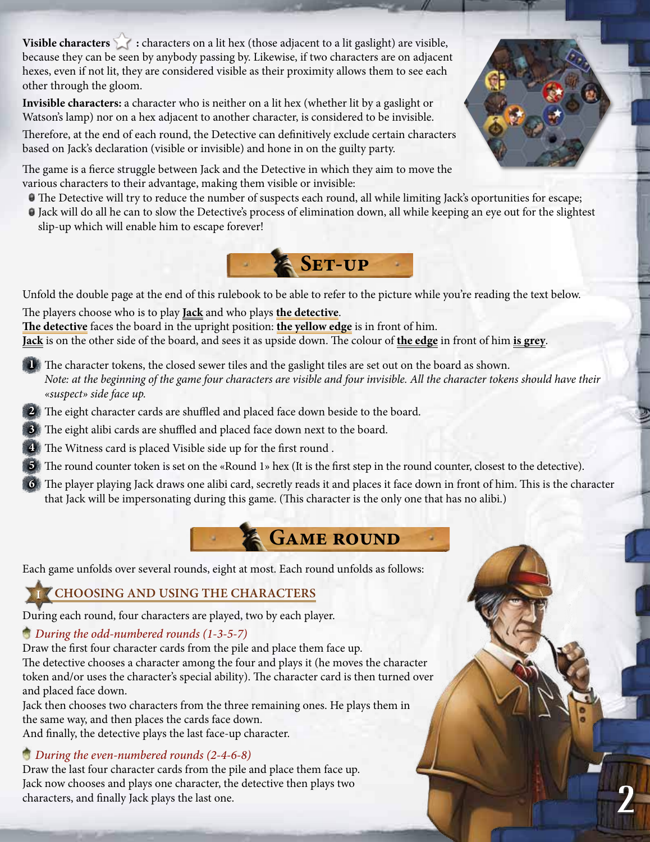**Visible characters** : characters on a lit hex (those adjacent to a lit gaslight) are visible, because they can be seen by anybody passing by. Likewise, if two characters are on adjacent hexes, even if not lit, they are considered visible as their proximity allows them to see each other through the gloom.

**Invisible characters:** a character who is neither on a lit hex (whether lit by a gaslight or Watson's lamp) nor on a hex adjacent to another character, is considered to be invisible.

Therefore, at the end of each round, the Detective can definitively exclude certain characters based on Jack's declaration (visible or invisible) and hone in on the guilty party.

The game is a fierce struggle between Jack and the Detective in which they aim to move the various characters to their advantage, making them visible or invisible:

- The Detective will try to reduce the number of suspects each round, all while limiting Jack's oportunities for escape;
- Jack will do all he can to slow the Detective's process of elimination down, all while keeping an eye out for the slightest slip-up which will enable him to escape forever!



Unfold the double page at the end of this rulebook to be able to refer to the picture while you're reading the text below. The players choose who is to play **Jack** and who plays **the detective**.

**The detective** faces the board in the upright position: **the yellow edge** is in front of him.

**Jack** is on the other side of the board, and sees it as upside down. The colour of **the edge** in front of him **is grey**.

- **1** The character tokens, the closed sewer tiles and the gaslight tiles are set out on the board as shown. *Note: at the beginning of the game four characters are visible and four invisible. All the character tokens should have their «suspect» side face up.*
- **2** The eight character cards are shuffled and placed face down beside to the board.
- **3** The eight alibi cards are shuffled and placed face down next to the board.
- **4** The Witness card is placed Visible side up for the first round .
- The round counter token is set on the «Round 1» hex (It is the first step in the round counter, closest to the detective).
- The player playing Jack draws one alibi card, secretly reads it and places it face down in front of him. This is the character that Jack will be impersonating during this game. (This character is the only one that has no alibi.)



Each game unfolds over several rounds, eight at most. Each round unfolds as follows:

# **I Choosing and using the characters**

During each round, four characters are played, two by each player.

# *During the odd-numbered rounds (1-3-5-7)*

Draw the first four character cards from the pile and place them face up. The detective chooses a character among the four and plays it (he moves the character token and/or uses the character's special ability). The character card is then turned over and placed face down.

Jack then chooses two characters from the three remaining ones. He plays them in the same way, and then places the cards face down. And finally, the detective plays the last face-up character.

# *During the even-numbered rounds (2-4-6-8)*

Draw the last four character cards from the pile and place them face up. Jack now chooses and plays one character, the detective then plays two characters, and finally Jack plays the last one.



2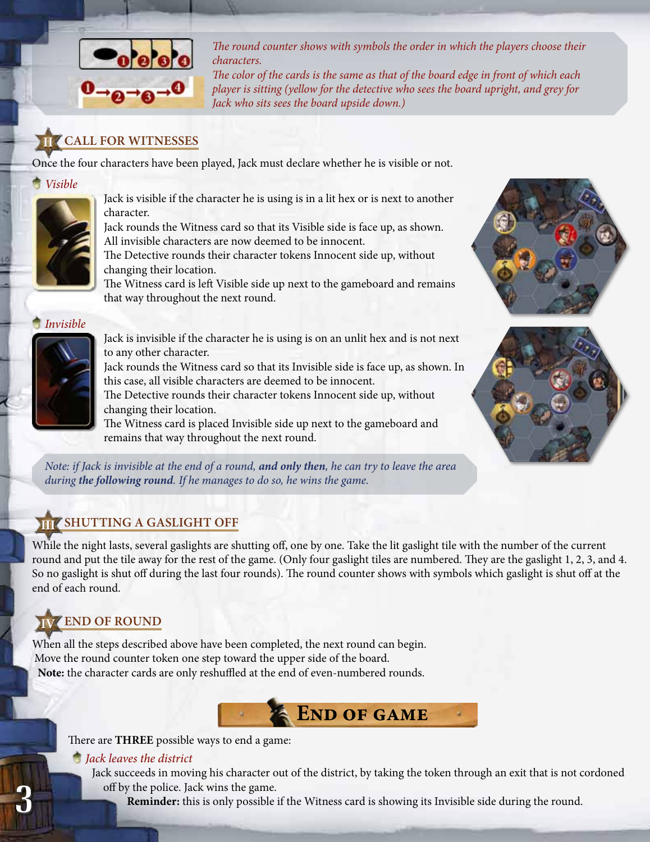

*The round counter shows with symbols the order in which the players choose their characters.* 

*The color of the cards is the same as that of the board edge in front of which each player is sitting (yellow for the detective who sees the board upright, and grey for Jack who sits sees the board upside down.)*

# **II Call for Witnesses**

Once the four characters have been played, Jack must declare whether he is visible or not.

#### *Visible*



Jack is visible if the character he is using is in a lit hex or is next to another character.

Jack rounds the Witness card so that its Visible side is face up, as shown. All invisible characters are now deemed to be innocent.

The Detective rounds their character tokens Innocent side up, without changing their location.

The Witness card is left Visible side up next to the gameboard and remains that way throughout the next round.

*Invisible*



Jack is invisible if the character he is using is on an unlit hex and is not next to any other character.

Jack rounds the Witness card so that its Invisible side is face up, as shown. In this case, all visible characters are deemed to be innocent.

The Detective rounds their character tokens Innocent side up, without changing their location.

The Witness card is placed Invisible side up next to the gameboard and remains that way throughout the next round.

*Note: if Jack is invisible at the end of a round, and only then, he can try to leave the area during the following round. If he manages to do so, he wins the game.*

# **III Shutting a gaslight off**

While the night lasts, several gaslights are shutting off, one by one. Take the lit gaslight tile with the number of the current round and put the tile away for the rest of the game. (Only four gaslight tiles are numbered. They are the gaslight 1, 2, 3, and 4. So no gaslight is shut off during the last four rounds). The round counter shows with symbols which gaslight is shut off at the end of each round.

# **IV End of round**

3

When all the steps described above have been completed, the next round can begin. Move the round counter token one step toward the upper side of the board. **Note:** the character cards are only reshuffled at the end of even-numbered rounds.

There are **THREE** possible ways to end a game:

#### *Jack leaves the district*

Jack succeeds in moving his character out of the district, by taking the token through an exit that is not cordoned off by the police. Jack wins the game.

**END OF GAME** 

**Reminder:** this is only possible if the Witness card is showing its Invisible side during the round.



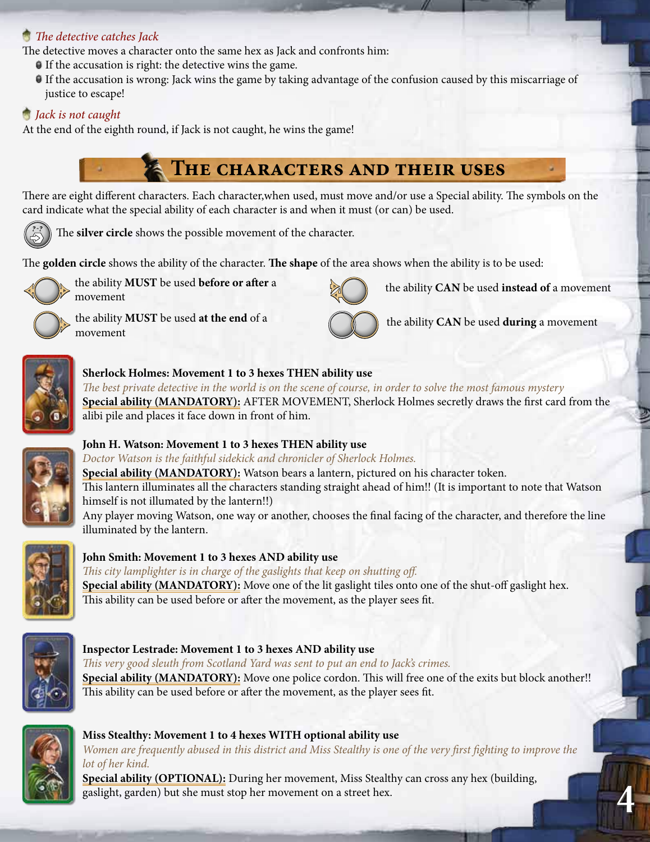## *The detective catches Jack*

The detective moves a character onto the same hex as Jack and confronts him:

- If the accusation is right: the detective wins the game.
- If the accusation is wrong: Jack wins the game by taking advantage of the confusion caused by this miscarriage of justice to escape!

# *Jack is not caught*

At the end of the eighth round, if Jack is not caught, he wins the game!

# **The characters and their uses**

There are eight different characters. Each character,when used, must move and/or use a Special ability. The symbols on the card indicate what the special ability of each character is and when it must (or can) be used.



The **silver circle** shows the possible movement of the character.

The **golden circle** shows the ability of the character. **The shape** of the area shows when the ability is to be used:



the ability **MUST** be used **before or after** a movement

the ability **MUST** be used **at the end** of a movement



the ability **CAN** be used **instead of** a movement

the ability **CAN** be used **during** a movement



# **Sherlock Holmes: Movement 1 to 3 hexes THEN ability use**

*The best private detective in the world is on the scene of course, in order to solve the most famous mystery* **Special ability (MANDATORY):** AFTER MOVEMENT, Sherlock Holmes secretly draws the first card from the alibi pile and places it face down in front of him.



# **John H. Watson: Movement 1 to 3 hexes THEN ability use**

*Doctor Watson is the faithful sidekick and chronicler of Sherlock Holmes.* **Special ability (MANDATORY):** Watson bears a lantern, pictured on his character token. This lantern illuminates all the characters standing straight ahead of him!! (It is important to note that Watson himself is not illumated by the lantern!!) Any player moving Watson, one way or another, chooses the final facing of the character, and therefore the line illuminated by the lantern.



# **John Smith: Movement 1 to 3 hexes AND ability use**

*This city lamplighter is in charge of the gaslights that keep on shutting off.*  **Special ability (MANDATORY):** Move one of the lit gaslight tiles onto one of the shut-off gaslight hex. This ability can be used before or after the movement, as the player sees fit.



## **Inspector Lestrade: Movement 1 to 3 hexes AND ability use**

*This very good sleuth from Scotland Yard was sent to put an end to Jack's crimes.* **Special ability (MANDATORY):** Move one police cordon. This will free one of the exits but block another!! This ability can be used before or after the movement, as the player sees fit.



## **Miss Stealthy: Movement 1 to 4 hexes WITH optional ability use**

*Women are frequently abused in this district and Miss Stealthy is one of the very first fighting to improve the lot of her kind.*

**Special ability (OPTIONAL):** During her movement, Miss Stealthy can cross any hex (building, gaslight, garden) but she must stop her movement on a street hex.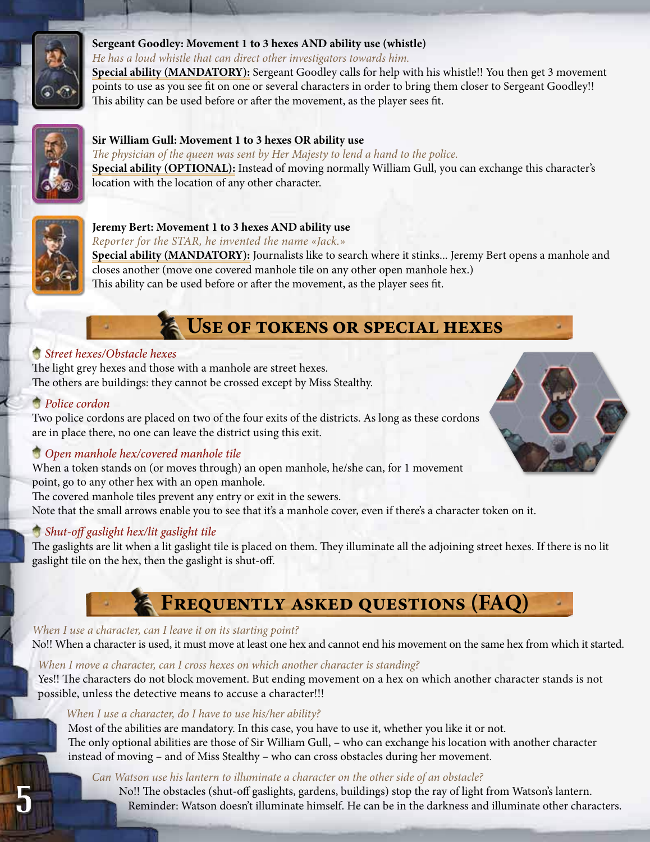

#### **Sergeant Goodley: Movement 1 to 3 hexes AND ability use (whistle)**

*He has a loud whistle that can direct other investigators towards him.*

**Special ability (MANDATORY):** Sergeant Goodley calls for help with his whistle!! You then get 3 movement points to use as you see fit on one or several characters in order to bring them closer to Sergeant Goodley!! This ability can be used before or after the movement, as the player sees fit.



#### **Sir William Gull: Movement 1 to 3 hexes OR ability use**

*The physician of the queen was sent by Her Majesty to lend a hand to the police.* **Special ability (OPTIONAL):** Instead of moving normally William Gull, you can exchange this character's location with the location of any other character.



### **Jeremy Bert: Movement 1 to 3 hexes AND ability use**

*Reporter for the STAR, he invented the name «Jack.»*

**Special ability (MANDATORY):** Journalists like to search where it stinks... Jeremy Bert opens a manhole and closes another (move one covered manhole tile on any other open manhole hex.) This ability can be used before or after the movement, as the player sees fit.

# **Use of tokens or special hexes**

### *Street hexes/Obstacle hexes*

The light grey hexes and those with a manhole are street hexes. The others are buildings: they cannot be crossed except by Miss Stealthy.

### *Police cordon*

5

Two police cordons are placed on two of the four exits of the districts. As long as these cordons are in place there, no one can leave the district using this exit.

## *Open manhole hex/covered manhole tile*

When a token stands on (or moves through) an open manhole, he/she can, for 1 movement point, go to any other hex with an open manhole.

The covered manhole tiles prevent any entry or exit in the sewers.

Note that the small arrows enable you to see that it's a manhole cover, even if there's a character token on it.

## *Shut-off gaslight hex/lit gaslight tile*

The gaslights are lit when a lit gaslight tile is placed on them. They illuminate all the adjoining street hexes. If there is no lit gaslight tile on the hex, then the gaslight is shut-off.

# **Frequently asked questions (FAQ)**

#### *When I use a character, can I leave it on its starting point?*

No!! When a character is used, it must move at least one hex and cannot end his movement on the same hex from which it started.

#### *When I move a character, can I cross hexes on which another character is standing?*

Yes!! The characters do not block movement. But ending movement on a hex on which another character stands is not possible, unless the detective means to accuse a character!!!

#### *When I use a character, do I have to use his/her ability?*

Most of the abilities are mandatory. In this case, you have to use it, whether you like it or not. The only optional abilities are those of Sir William Gull, – who can exchange his location with another character instead of moving – and of Miss Stealthy – who can cross obstacles during her movement.

#### *Can Watson use his lantern to illuminate a character on the other side of an obstacle?*

No!! The obstacles (shut-off gaslights, gardens, buildings) stop the ray of light from Watson's lantern. Reminder: Watson doesn't illuminate himself. He can be in the darkness and illuminate other characters.

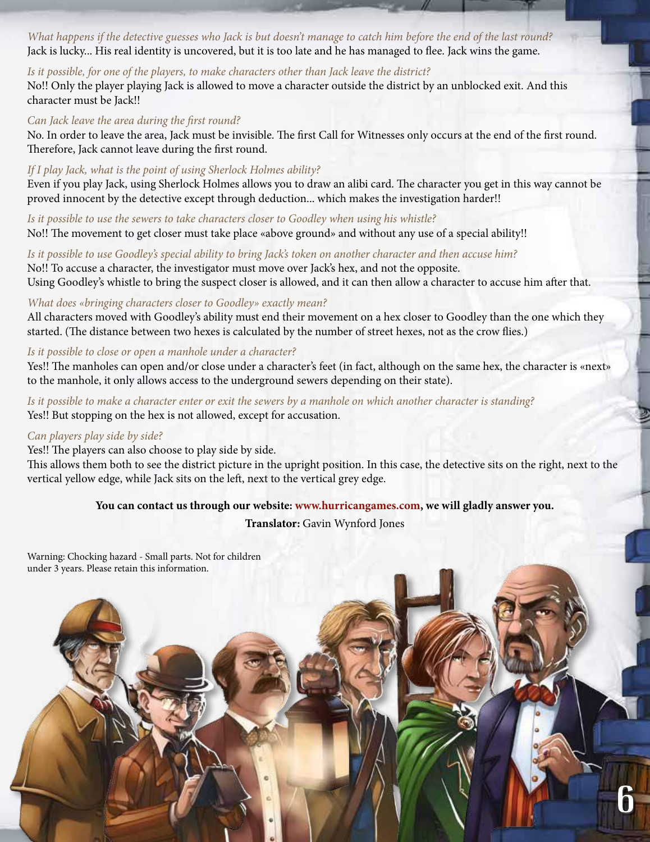*What happens if the detective guesses who Jack is but doesn't manage to catch him before the end of the last round?* Jack is lucky... His real identity is uncovered, but it is too late and he has managed to flee. Jack wins the game.

#### *Is it possible, for one of the players, to make characters other than Jack leave the district?*

No!! Only the player playing Jack is allowed to move a character outside the district by an unblocked exit. And this character must be Jack!!

#### *Can Jack leave the area during the first round?*

No. In order to leave the area, Jack must be invisible. The first Call for Witnesses only occurs at the end of the first round. Therefore, Jack cannot leave during the first round.

#### *If I play Jack, what is the point of using Sherlock Holmes ability?*

Even if you play Jack, using Sherlock Holmes allows you to draw an alibi card. The character you get in this way cannot be proved innocent by the detective except through deduction... which makes the investigation harder!!

*Is it possible to use the sewers to take characters closer to Goodley when using his whistle?* No!! The movement to get closer must take place «above ground» and without any use of a special ability!!

*Is it possible to use Goodley's special ability to bring Jack's token on another character and then accuse him?* No!! To accuse a character, the investigator must move over Jack's hex, and not the opposite. Using Goodley's whistle to bring the suspect closer is allowed, and it can then allow a character to accuse him after that.

#### *What does «bringing characters closer to Goodley» exactly mean?*

All characters moved with Goodley's ability must end their movement on a hex closer to Goodley than the one which they started. (The distance between two hexes is calculated by the number of street hexes, not as the crow flies.)

#### *Is it possible to close or open a manhole under a character?*

Yes!! The manholes can open and/or close under a character's feet (in fact, although on the same hex, the character is «next» to the manhole, it only allows access to the underground sewers depending on their state).

*Is it possible to make a character enter or exit the sewers by a manhole on which another character is standing?* Yes!! But stopping on the hex is not allowed, except for accusation.

#### *Can players play side by side?*

Yes!! The players can also choose to play side by side.

This allows them both to see the district picture in the upright position. In this case, the detective sits on the right, next to the vertical yellow edge, while Jack sits on the left, next to the vertical grey edge.

#### **You can contact us through our website: www.hurricangames.com, we will gladly answer you.**

#### **Translator:** Gavin Wynford Jones

6

Warning: Chocking hazard - Small parts. Not for children under 3 years. Please retain this information.